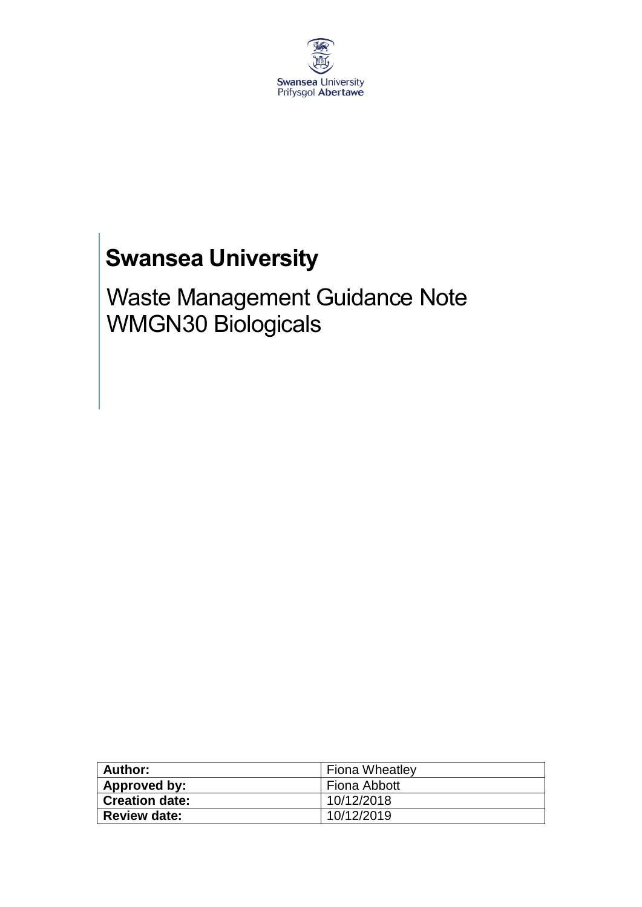

# **Swansea University**

Waste Management Guidance Note WMGN30 Biologicals

| Author:               | <b>Fiona Wheatley</b> |
|-----------------------|-----------------------|
| Approved by:          | Fiona Abbott          |
| <b>Creation date:</b> | 10/12/2018            |
| <b>Review date:</b>   | 10/12/2019            |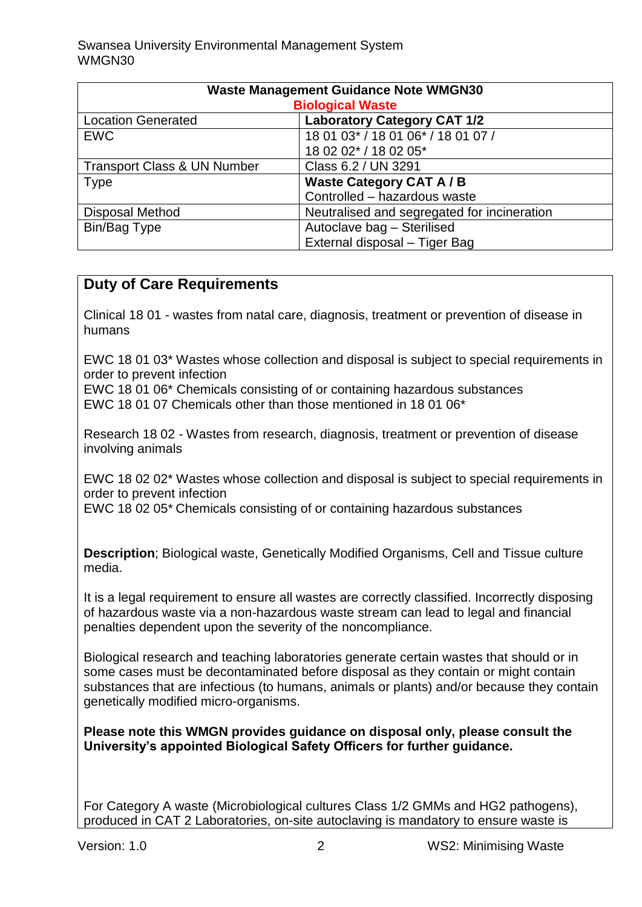| <b>Waste Management Guidance Note WMGN30</b> |                                             |  |  |  |  |
|----------------------------------------------|---------------------------------------------|--|--|--|--|
| <b>Biological Waste</b>                      |                                             |  |  |  |  |
| <b>Location Generated</b>                    | <b>Laboratory Category CAT 1/2</b>          |  |  |  |  |
| <b>EWC</b>                                   | 18 01 03* / 18 01 06* / 18 01 07 /          |  |  |  |  |
|                                              | 18 02 02* / 18 02 05*                       |  |  |  |  |
| <b>Transport Class &amp; UN Number</b>       | Class 6.2 / UN 3291                         |  |  |  |  |
| <b>Type</b>                                  | <b>Waste Category CAT A/B</b>               |  |  |  |  |
|                                              | Controlled - hazardous waste                |  |  |  |  |
| <b>Disposal Method</b>                       | Neutralised and segregated for incineration |  |  |  |  |
| Bin/Bag Type                                 | Autoclave bag - Sterilised                  |  |  |  |  |
|                                              | External disposal - Tiger Bag               |  |  |  |  |

# **Duty of Care Requirements**

Clinical 18 01 - wastes from natal care, diagnosis, treatment or prevention of disease in humans

EWC 18 01 03\* Wastes whose collection and disposal is subject to special requirements in order to prevent infection

EWC 18 01 06\* Chemicals consisting of or containing hazardous substances EWC 18 01 07 Chemicals other than those mentioned in 18 01 06\*

Research 18 02 - Wastes from research, diagnosis, treatment or prevention of disease involving animals

EWC 18 02 02\* Wastes whose collection and disposal is subject to special requirements in order to prevent infection

EWC 18 02 05\* Chemicals consisting of or containing hazardous substances

**Description**; Biological waste, Genetically Modified Organisms, Cell and Tissue culture media.

It is a legal requirement to ensure all wastes are correctly classified. Incorrectly disposing of hazardous waste via a non-hazardous waste stream can lead to legal and financial penalties dependent upon the severity of the noncompliance.

Biological research and teaching laboratories generate certain wastes that should or in some cases must be decontaminated before disposal as they contain or might contain substances that are infectious (to humans, animals or plants) and/or because they contain genetically modified micro-organisms.

**Please note this WMGN provides guidance on disposal only, please consult the University's appointed Biological Safety Officers for further guidance.** 

For Category A waste (Microbiological cultures Class 1/2 GMMs and HG2 pathogens), produced in CAT 2 Laboratories, on-site autoclaving is mandatory to ensure waste is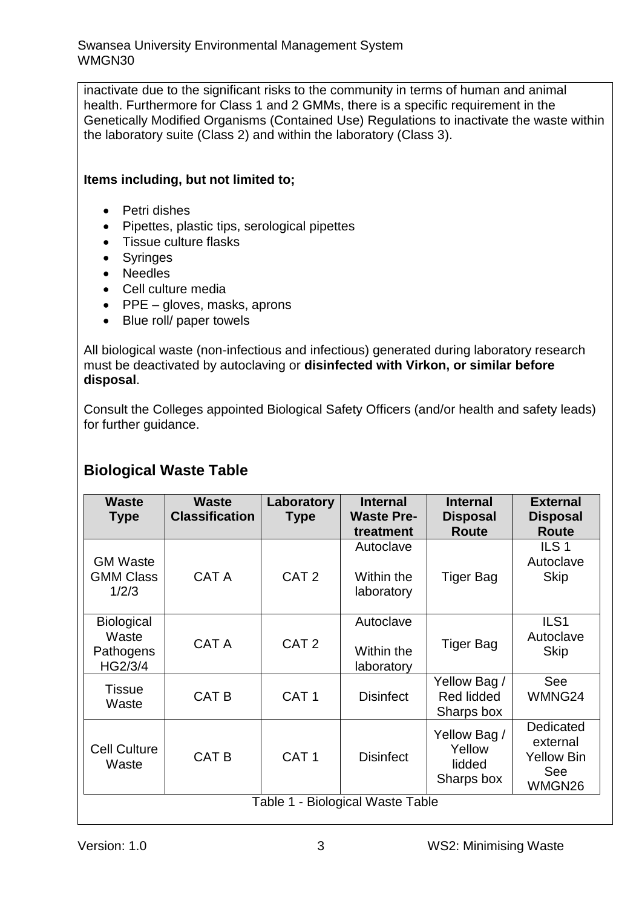inactivate due to the significant risks to the community in terms of human and animal health. Furthermore for Class 1 and 2 GMMs, there is a specific requirement in the Genetically Modified Organisms (Contained Use) Regulations to inactivate the waste within the laboratory suite (Class 2) and within the laboratory (Class 3).

## **Items including, but not limited to;**

- Petri dishes
- Pipettes, plastic tips, serological pipettes
- Tissue culture flasks
- Syringes
- Needles
- Cell culture media
- $\bullet$  PPE gloves, masks, aprons
- Blue roll/ paper towels

All biological waste (non-infectious and infectious) generated during laboratory research must be deactivated by autoclaving or **disinfected with Virkon, or similar before disposal**.

Consult the Colleges appointed Biological Safety Officers (and/or health and safety leads) for further guidance.

# **Biological Waste Table**

| <b>Waste</b><br><b>Type</b>                        | <b>Waste</b><br><b>Classification</b> | Laboratory<br><b>Type</b> | <b>Internal</b><br><b>Waste Pre-</b><br>treatment | <b>Internal</b><br><b>Disposal</b><br><b>Route</b> | <b>External</b><br><b>Disposal</b><br><b>Route</b>          |  |
|----------------------------------------------------|---------------------------------------|---------------------------|---------------------------------------------------|----------------------------------------------------|-------------------------------------------------------------|--|
| <b>GM Waste</b><br><b>GMM Class</b><br>1/2/3       | CAT A                                 | CAT <sub>2</sub>          | Autoclave<br>Within the<br>laboratory             | <b>Tiger Bag</b>                                   | ILS <sub>1</sub><br>Autoclave<br><b>Skip</b>                |  |
| <b>Biological</b><br>Waste<br>Pathogens<br>HG2/3/4 | CAT A                                 | CAT <sub>2</sub>          | Autoclave<br>Within the<br>laboratory             | <b>Tiger Bag</b>                                   | ILS <sub>1</sub><br>Autoclave<br><b>Skip</b>                |  |
| <b>Tissue</b><br>Waste                             | CAT B                                 | CAT <sub>1</sub>          | <b>Disinfect</b>                                  | Yellow Bag /<br>Red lidded<br>Sharps box           | See<br>WMNG24                                               |  |
| <b>Cell Culture</b><br>Waste                       | <b>CAT B</b>                          | CAT <sub>1</sub>          | <b>Disinfect</b>                                  | Yellow Bag /<br>Yellow<br>lidded<br>Sharps box     | Dedicated<br>external<br><b>Yellow Bin</b><br>See<br>WMGN26 |  |
| - Biological Waste Table<br>Table 1                |                                       |                           |                                                   |                                                    |                                                             |  |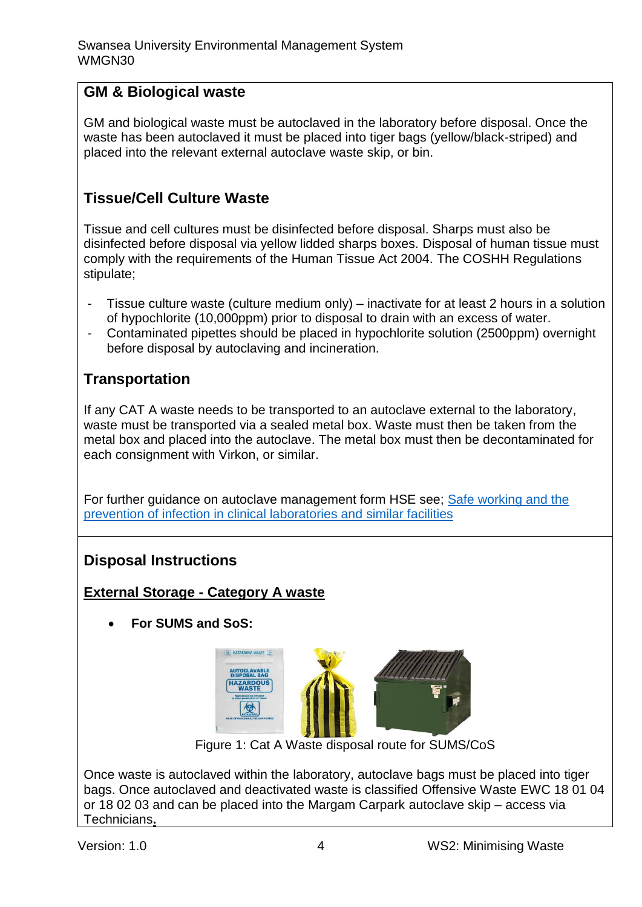# **GM & Biological waste**

GM and biological waste must be autoclaved in the laboratory before disposal. Once the waste has been autoclaved it must be placed into tiger bags (yellow/black-striped) and placed into the relevant external autoclave waste skip, or bin.

# **Tissue/Cell Culture Waste**

Tissue and cell cultures must be disinfected before disposal. Sharps must also be disinfected before disposal via yellow lidded sharps boxes. Disposal of human tissue must comply with the requirements of the Human Tissue Act 2004. The COSHH Regulations stipulate;

- Tissue culture waste (culture medium only) inactivate for at least 2 hours in a solution of hypochlorite (10,000ppm) prior to disposal to drain with an excess of water.
- Contaminated pipettes should be placed in hypochlorite solution (2500ppm) overnight before disposal by autoclaving and incineration.

## **Transportation**

If any CAT A waste needs to be transported to an autoclave external to the laboratory, waste must be transported via a sealed metal box. Waste must then be taken from the metal box and placed into the autoclave. The metal box must then be decontaminated for each consignment with Virkon, or similar.

For further guidance on autoclave management form HSE see; Safe working and the [prevention of infection in clinical laboratories and similar facilities](http://www.hse.gov.uk/pubns/clinical-laboratories.pdf)

# **Disposal Instructions**

## **External Storage - Category A waste**

**For SUMS and SoS:**



Figure 1: Cat A Waste disposal route for SUMS/CoS

Once waste is autoclaved within the laboratory, autoclave bags must be placed into tiger bags. Once autoclaved and deactivated waste is classified Offensive Waste EWC 18 01 04 or 18 02 03 and can be placed into the Margam Carpark autoclave skip – access via Technicians**.**